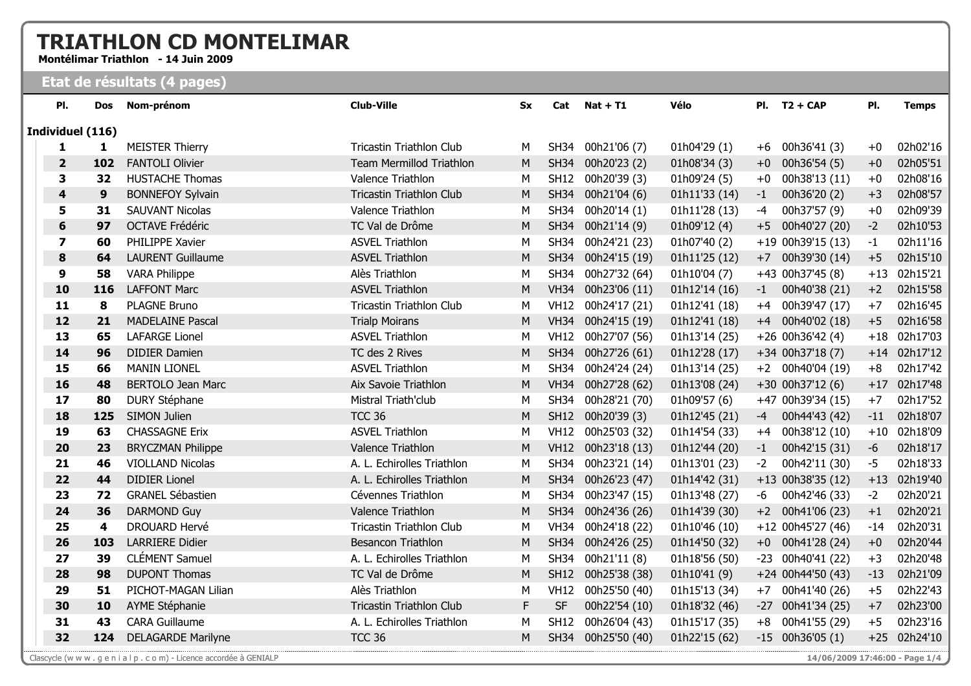## **TRIATHLON CD MONTELIMAR**

Montélimar Triathlon - 14 Juin 2009

## Etat de résultats (4 pages)

| PI.            | Dos              | Nom-prénom                | <b>Club-Ville</b>               | <b>Sx</b> | Cat         | $Nat + T1$         | Vélo          | PI.  | $T2 + CAP$          | PI.   | <b>Temps</b> |
|----------------|------------------|---------------------------|---------------------------------|-----------|-------------|--------------------|---------------|------|---------------------|-------|--------------|
|                | Individuel (116) |                           |                                 |           |             |                    |               |      |                     |       |              |
| 1              | $\mathbf{1}$     | <b>MEISTER Thierry</b>    | <b>Tricastin Triathlon Club</b> | М         | <b>SH34</b> | 00h21'06 (7)       | 01h04'29(1)   | $+6$ | 00h36'41 (3)        | $+0$  | 02h02'16     |
| $\overline{2}$ | 102              | <b>FANTOLI Olivier</b>    | <b>Team Mermillod Triathlon</b> | M         | <b>SH34</b> | 00h20'23 (2)       | 01h08'34 (3)  | $+0$ | 00h36'54 (5)        | $+0$  | 02h05'51     |
| 3              | 32               | <b>HUSTACHE Thomas</b>    | Valence Triathlon               | M         | <b>SH12</b> | 00h20'39 (3)       | 01h09'24(5)   | $+0$ | 00h38'13 (11)       | $+0$  | 02h08'16     |
| 4              | $\boldsymbol{9}$ | <b>BONNEFOY Sylvain</b>   | <b>Tricastin Triathlon Club</b> | M         | <b>SH34</b> | 00h21'04 (6)       | 01h11'33 (14) | -1   | 00h36'20 (2)        | $+3$  | 02h08'57     |
| 5              | 31               | <b>SAUVANT Nicolas</b>    | Valence Triathlon               | M         | <b>SH34</b> | 00h20'14 (1)       | 01h11'28 (13) | $-4$ | 00h37'57 (9)        | $+0$  | 02h09'39     |
| 6              | 97               | <b>OCTAVE Frédéric</b>    | TC Val de Drôme                 | M         | <b>SH34</b> | 00h21'14 (9)       | 01h09'12(4)   | $+5$ | 00h40'27 (20)       | $-2$  | 02h10'53     |
| $\overline{ }$ | 60               | PHILIPPE Xavier           | <b>ASVEL Triathlon</b>          | M         | <b>SH34</b> | 00h24'21 (23)      | 01h07'40(2)   |      | +19 00h39'15 (13)   | -1    | 02h11'16     |
| 8              | 64               | <b>LAURENT Guillaume</b>  | <b>ASVEL Triathlon</b>          | M         | <b>SH34</b> | 00h24'15 (19)      | 01h11'25 (12) | $+7$ | 00h39'30 (14)       | $+5$  | 02h15'10     |
| 9              | 58               | <b>VARA Philippe</b>      | Alès Triathlon                  | М         | <b>SH34</b> | 00h27'32 (64)      | 01h10'04 (7)  |      | +43 00h37'45 (8)    | $+13$ | 02h15'21     |
| 10             | 116              | <b>LAFFONT Marc</b>       | <b>ASVEL Triathlon</b>          | M         | <b>VH34</b> | 00h23'06 (11)      | 01h12'14 (16) | $-1$ | 00h40'38 (21)       | $+2$  | 02h15'58     |
| 11             | 8                | <b>PLAGNE Bruno</b>       | <b>Tricastin Triathlon Club</b> | M         | <b>VH12</b> | 00h24'17 (21)      | 01h12'41 (18) |      | +4 00h39'47 (17)    | $+7$  | 02h16'45     |
| 12             | 21               | <b>MADELAINE Pascal</b>   | <b>Trialp Moirans</b>           | ${\sf M}$ | <b>VH34</b> | 00h24'15 (19)      | 01h12'41 (18) |      | +4 00h40'02 (18)    | $+5$  | 02h16'58     |
| 13             | 65               | <b>LAFARGE Lionel</b>     | <b>ASVEL Triathlon</b>          | M         | <b>VH12</b> | 00h27'07 (56)      | 01h13'14 (25) |      | $+26$ 00h36'42 (4)  | $+18$ | 02h17'03     |
| 14             | 96               | <b>DIDIER Damien</b>      | TC des 2 Rives                  | M         | <b>SH34</b> | 00h27'26 (61)      | 01h12'28 (17) |      | $+34$ 00h37'18 (7)  | $+14$ | 02h17'12     |
| 15             | 66               | <b>MANIN LIONEL</b>       | <b>ASVEL Triathlon</b>          | M         | <b>SH34</b> | 00h24'24 (24)      | 01h13'14 (25) |      | +2 00h40'04 (19)    | $+8$  | 02h17'42     |
| 16             | 48               | <b>BERTOLO Jean Marc</b>  | Aix Savoie Triathlon            | M         | <b>VH34</b> | 00h27'28 (62)      | 01h13'08 (24) |      | $+30$ 00h37'12 (6)  | $+17$ | 02h17'48     |
| 17             | 80               | <b>DURY Stéphane</b>      | Mistral Triath'club             | M         | <b>SH34</b> | 00h28'21 (70)      | 01h09'57 (6)  |      | +47 00h39'34 (15)   | $+7$  | 02h17'52     |
| 18             | 125              | <b>SIMON Julien</b>       | <b>TCC 36</b>                   | ${\sf M}$ | <b>SH12</b> | 00h20'39 (3)       | 01h12'45 (21) | -4   | 00h44'43 (42)       | $-11$ | 02h18'07     |
| 19             | 63               | <b>CHASSAGNE Erix</b>     | <b>ASVEL Triathlon</b>          | M         | <b>VH12</b> | 00h25'03 (32)      | 01h14'54 (33) | $+4$ | 00h38'12 (10)       | $+10$ | 02h18'09     |
| 20             | 23               | <b>BRYCZMAN Philippe</b>  | Valence Triathlon               | ${\sf M}$ |             | VH12 00h23'18 (13) | 01h12'44 (20) | $-1$ | 00h42'15 (31)       | $-6$  | 02h18'17     |
| 21             | 46               | <b>VIOLLAND Nicolas</b>   | A. L. Echirolles Triathlon      | M         | <b>SH34</b> | 00h23'21 (14)      | 01h13'01 (23) | $-2$ | 00h42'11 (30)       | $-5$  | 02h18'33     |
| 22             | 44               | <b>DIDIER Lionel</b>      | A. L. Echirolles Triathlon      | ${\sf M}$ | <b>SH34</b> | 00h26'23 (47)      | 01h14'42 (31) |      | +13 00h38'35 (12)   | $+13$ | 02h19'40     |
| 23             | 72               | <b>GRANEL Sébastien</b>   | Cévennes Triathlon              | M         | <b>SH34</b> | 00h23'47 (15)      | 01h13'48 (27) | -6   | 00h42'46 (33)       | $-2$  | 02h20'21     |
| 24             | 36               | <b>DARMOND Guy</b>        | Valence Triathlon               | M         | <b>SH34</b> | 00h24'36 (26)      | 01h14'39 (30) |      | $+2$ 00h41'06 (23)  | $+1$  | 02h20'21     |
| 25             | 4                | <b>DROUARD Hervé</b>      | Tricastin Triathlon Club        | M         | <b>VH34</b> | 00h24'18 (22)      | 01h10'46 (10) |      | +12 00h45'27 (46)   | $-14$ | 02h20'31     |
| 26             | 103              | <b>LARRIERE Didier</b>    | <b>Besancon Triathlon</b>       | ${\sf M}$ | <b>SH34</b> | 00h24'26 (25)      | 01h14'50 (32) |      | $+0$ 00h41'28 (24)  | $+0$  | 02h20'44     |
| 27             | 39               | <b>CLÉMENT Samuel</b>     | A. L. Echirolles Triathlon      | М         | <b>SH34</b> | 00h21'11 (8)       | 01h18'56 (50) |      | -23 00h40'41 (22)   | $+3$  | 02h20'48     |
| 28             | 98               | <b>DUPONT Thomas</b>      | TC Val de Drôme                 | ${\sf M}$ | <b>SH12</b> | 00h25'38 (38)      | 01h10'41 (9)  |      | +24 00h44'50 (43)   | $-13$ | 02h21'09     |
| 29             | 51               | PICHOT-MAGAN Lilian       | Alès Triathlon                  | M         | <b>VH12</b> | 00h25'50 (40)      | 01h15'13 (34) | $+7$ | 00h41'40 (26)       | $+5$  | 02h22'43     |
| 30             | 10               | AYME Stéphanie            | <b>Tricastin Triathlon Club</b> | F         | <b>SF</b>   | 00h22'54 (10)      | 01h18'32 (46) |      | $-27$ 00h41'34 (25) | $+7$  | 02h23'00     |
| 31             | 43               | <b>CARA Guillaume</b>     | A. L. Echirolles Triathlon      | M         | <b>SH12</b> | 00h26'04 (43)      | 01h15'17 (35) | $+8$ | 00h41'55 (29)       | $+5$  | 02h23'16     |
| 32             | 124              | <b>DELAGARDE Marilyne</b> | <b>TCC 36</b>                   | M         | <b>SH34</b> | 00h25'50 (40)      | 01h22'15 (62) |      | $-15$ 00h36'05 (1)  | $+25$ | 02h24'10     |
|                |                  |                           |                                 |           |             |                    |               |      |                     |       |              |

Clascycle (w w w . g e n i a l p . c o m) - Licence accordée à GENIALP

14/06/2009 17:46:00 - Page 1/4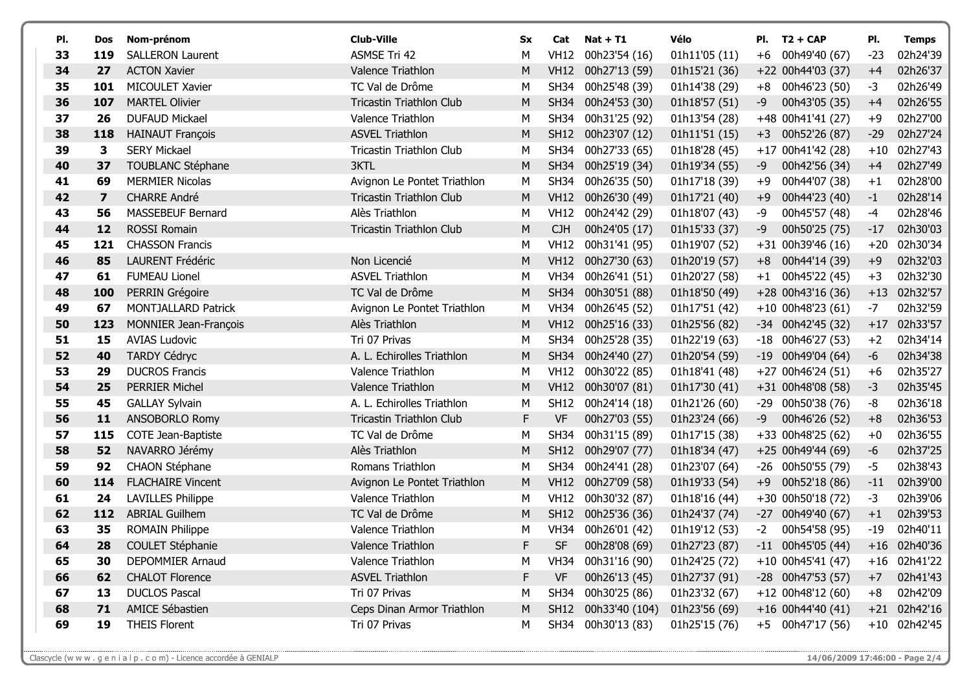| PI. | Dos                     | Nom-prénom                 | <b>Club-Ville</b>               | <b>Sx</b> | Cat         | $Nat + T1$         | Vélo          | PI.  | $T2 + CAP$          | PI.   | <b>Temps</b> |
|-----|-------------------------|----------------------------|---------------------------------|-----------|-------------|--------------------|---------------|------|---------------------|-------|--------------|
| 33  | 119                     | <b>SALLERON Laurent</b>    | <b>ASMSE Tri 42</b>             | М         | <b>VH12</b> | 00h23'54 (16)      | 01h11'05 (11) | $+6$ | 00h49'40 (67)       | $-23$ | 02h24'39     |
| 34  | 27                      | <b>ACTON Xavier</b>        | Valence Triathlon               | M         | <b>VH12</b> | 00h27'13 (59)      | 01h15'21 (36) |      | +22 00h44'03 (37)   | $+4$  | 02h26'37     |
| 35  | 101                     | MICOULET Xavier            | TC Val de Drôme                 | M         | SH34        | 00h25'48 (39)      | 01h14'38 (29) | $+8$ | 00h46'23 (50)       | $-3$  | 02h26'49     |
| 36  | 107                     | <b>MARTEL Olivier</b>      | <b>Tricastin Triathlon Club</b> | M         | <b>SH34</b> | 00h24'53 (30)      | 01h18'57 (51) | -9   | 00h43'05 (35)       | $+4$  | 02h26'55     |
| 37  | 26                      | <b>DUFAUD Mickael</b>      | Valence Triathlon               | М         | <b>SH34</b> | 00h31'25 (92)      | 01h13'54 (28) |      | +48 00h41'41 (27)   | $+9$  | 02h27'00     |
| 38  | 118                     | <b>HAINAUT François</b>    | <b>ASVEL Triathlon</b>          | M         | <b>SH12</b> | 00h23'07 (12)      | 01h11'51 (15) | $+3$ | 00h52'26 (87)       | $-29$ | 02h27'24     |
| 39  | 3                       | <b>SERY Mickael</b>        | Tricastin Triathlon Club        | М         | <b>SH34</b> | 00h27'33 (65)      | 01h18'28 (45) |      | +17 00h41'42 (28)   | $+10$ | 02h27'43     |
| 40  | 37                      | <b>TOUBLANC Stéphane</b>   | 3KTL                            | M         | <b>SH34</b> | 00h25'19 (34)      | 01h19'34 (55) | -9   | 00h42'56 (34)       | $+4$  | 02h27'49     |
| 41  | 69                      | <b>MERMIER Nicolas</b>     | Avignon Le Pontet Triathlon     | M         | <b>SH34</b> | 00h26'35 (50)      | 01h17'18 (39) | $+9$ | 00h44'07 (38)       | $+1$  | 02h28'00     |
| 42  | $\overline{\mathbf{z}}$ | <b>CHARRE André</b>        | <b>Tricastin Triathlon Club</b> | M         | <b>VH12</b> | 00h26'30 (49)      | 01h17'21 (40) | $+9$ | 00h44'23 (40)       | $-1$  | 02h28'14     |
| 43  | 56                      | MASSEBEUF Bernard          | Alès Triathlon                  | М         | <b>VH12</b> | 00h24'42 (29)      | 01h18'07 (43) | -9   | 00h45'57 (48)       | -4    | 02h28'46     |
| 44  | 12                      | <b>ROSSI Romain</b>        | Tricastin Triathlon Club        | M         | <b>CJH</b>  | 00h24'05 (17)      | 01h15'33 (37) | $-9$ | 00h50'25 (75)       | $-17$ | 02h30'03     |
| 45  | 121                     | <b>CHASSON Francis</b>     |                                 | М         | <b>VH12</b> | 00h31'41 (95)      | 01h19'07 (52) |      | +31 00h39'46 (16)   | $+20$ | 02h30'34     |
| 46  | 85                      | <b>LAURENT Frédéric</b>    | Non Licencié                    | M         | <b>VH12</b> | 00h27'30 (63)      | 01h20'19 (57) | $+8$ | 00h44'14 (39)       | $+9$  | 02h32'03     |
| 47  | 61                      | <b>FUMEAU Lionel</b>       | <b>ASVEL Triathlon</b>          | М         | <b>VH34</b> | 00h26'41 (51)      | 01h20'27 (58) | $+1$ | 00h45'22 (45)       | $+3$  | 02h32'30     |
| 48  | 100                     | PERRIN Grégoire            | TC Val de Drôme                 | M         | <b>SH34</b> | 00h30'51 (88)      | 01h18'50 (49) |      | +28 00h43'16 (36)   | $+13$ | 02h32'57     |
| 49  | 67                      | <b>MONTJALLARD Patrick</b> | Avignon Le Pontet Triathlon     | М         | <b>VH34</b> | 00h26'45 (52)      | 01h17'51 (42) |      | $+10$ 00h48'23 (61) | $-7$  | 02h32'59     |
| 50  | 123                     | MONNIER Jean-François      | Alès Triathlon                  | М         | <b>VH12</b> | 00h25'16 (33)      | 01h25'56 (82) |      | $-34$ 00h42'45 (32) | $+17$ | 02h33'57     |
| 51  | 15                      | <b>AVIAS Ludovic</b>       | Tri 07 Privas                   | М         | <b>SH34</b> | 00h25'28 (35)      | 01h22'19 (63) |      | $-18$ 00h46'27 (53) | $+2$  | 02h34'14     |
| 52  | 40                      | <b>TARDY Cédryc</b>        | A. L. Echirolles Triathlon      | M         | <b>SH34</b> | 00h24'40 (27)      | 01h20'54 (59) |      | $-19$ 00h49'04 (64) | $-6$  | 02h34'38     |
| 53  | 29                      | <b>DUCROS Francis</b>      | Valence Triathlon               | М         | <b>VH12</b> | 00h30'22 (85)      | 01h18'41 (48) |      | +27 00h46'24 (51)   | $+6$  | 02h35'27     |
| 54  | 25                      | <b>PERRIER Michel</b>      | Valence Triathlon               | M         | <b>VH12</b> | 00h30'07 (81)      | 01h17'30 (41) |      | +31 00h48'08 (58)   | $-3$  | 02h35'45     |
| 55  | 45                      | <b>GALLAY Sylvain</b>      | A. L. Echirolles Triathlon      | М         | <b>SH12</b> | 00h24'14 (18)      | 01h21'26 (60) |      | -29 00h50'38 (76)   | $-8$  | 02h36'18     |
| 56  | 11                      | ANSOBORLO Romy             | <b>Tricastin Triathlon Club</b> | F         | <b>VF</b>   | 00h27'03 (55)      | 01h23'24 (66) | -9   | 00h46'26 (52)       | $+8$  | 02h36'53     |
| 57  | 115                     | COTE Jean-Baptiste         | TC Val de Drôme                 | М         | <b>SH34</b> | 00h31'15 (89)      | 01h17'15 (38) |      | +33 00h48'25 (62)   | $+0$  | 02h36'55     |
| 58  | 52                      | NAVARRO Jérémy             | Alès Triathlon                  | M         | <b>SH12</b> | 00h29'07 (77)      | 01h18'34 (47) |      | +25 00h49'44 (69)   | $-6$  | 02h37'25     |
| 59  | 92                      | CHAON Stéphane             | Romans Triathlon                | М         | <b>SH34</b> | 00h24'41 (28)      | 01h23'07 (64) |      | $-26$ 00h50'55 (79) | -5    | 02h38'43     |
| 60  | 114                     | <b>FLACHAIRE Vincent</b>   | Avignon Le Pontet Triathlon     | M         | <b>VH12</b> | 00h27'09 (58)      | 01h19'33 (54) | $+9$ | 00h52'18 (86)       | $-11$ | 02h39'00     |
| 61  | 24                      | <b>LAVILLES Philippe</b>   | Valence Triathlon               | М         | <b>VH12</b> | 00h30'32 (87)      | 01h18'16 (44) |      | +30 00h50'18 (72)   | $-3$  | 02h39'06     |
| 62  | 112                     | <b>ABRIAL Guilhem</b>      | TC Val de Drôme                 | M         | <b>SH12</b> | 00h25'36 (36)      | 01h24'37 (74) |      | $-27$ 00h49'40 (67) | $+1$  | 02h39'53     |
| 63  | 35                      | <b>ROMAIN Philippe</b>     | Valence Triathlon               | М         |             | VH34 00h26'01 (42) | 01h19'12 (53) | $-2$ | 00h54'58 (95)       | $-19$ | 02h40'11     |
| 64  | 28                      | COULET Stéphanie           | Valence Triathlon               | F         | <b>SF</b>   | 00h28'08 (69)      | 01h27'23 (87) |      | $-11$ 00h45'05 (44) |       | +16 02h40'36 |
| 65  | 30                      | <b>DEPOMMIER Arnaud</b>    | Valence Triathlon               | М         | <b>VH34</b> | 00h31'16 (90)      | 01h24'25 (72) |      | +10 00h45'41 (47)   | $+16$ | 02h41'22     |
| 66  | 62                      | <b>CHALOT Florence</b>     | <b>ASVEL Triathlon</b>          | F         | <b>VF</b>   | 00h26'13 (45)      | 01h27'37 (91) |      | $-28$ 00h47'53 (57) | $+7$  | 02h41'43     |
| 67  | 13                      | <b>DUCLOS Pascal</b>       | Tri 07 Privas                   | М         | <b>SH34</b> | 00h30'25 (86)      | 01h23'32 (67) |      | +12 00h48'12 (60)   | $+8$  | 02h42'09     |
| 68  | 71                      | AMICE Sébastien            | Ceps Dinan Armor Triathlon      | M         | <b>SH12</b> | 00h33'40 (104)     | 01h23'56 (69) |      | $+16$ 00h44'40 (41) | $+21$ | 02h42'16     |
| 69  | 19                      | <b>THEIS Florent</b>       | Tri 07 Privas                   | М         | SH34        | 00h30'13 (83)      | 01h25'15 (76) |      | +5 00h47'17 (56)    |       | +10 02h42'45 |

Clascycle (w w w . g e n i a l p . c o m) - Licence accordée à GENIALP

14/06/2009 17:46:00 - Page 2/4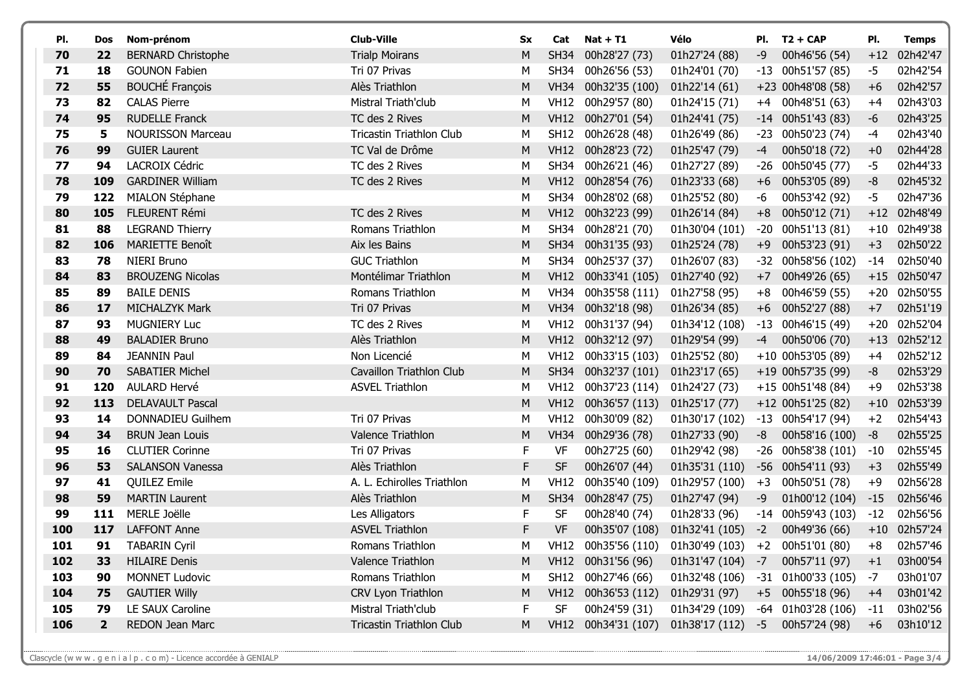| PI. | Dos          | Nom-prénom                | <b>Club-Ville</b>               | Sx          | Cat         | $Nat + T1$          | Vélo               | PI.   | $T2 + CAP$           | PI.   | <b>Temps</b> |
|-----|--------------|---------------------------|---------------------------------|-------------|-------------|---------------------|--------------------|-------|----------------------|-------|--------------|
| 70  | 22           | <b>BERNARD Christophe</b> | <b>Trialp Moirans</b>           | M           | <b>SH34</b> | 00h28'27 (73)       | 01h27'24 (88)      | -9    | 00h46'56 (54)        | $+12$ | 02h42'47     |
| 71  | 18           | <b>GOUNON Fabien</b>      | Tri 07 Privas                   | М           | <b>SH34</b> | 00h26'56 (53)       | 01h24'01 (70)      | $-13$ | 00h51'57 (85)        | $-5$  | 02h42'54     |
| 72  | 55           | <b>BOUCHÉ François</b>    | Alès Triathlon                  | М           | <b>VH34</b> | 00h32'35 (100)      | 01h22'14 (61)      |       | +23 00h48'08 (58)    | $+6$  | 02h42'57     |
| 73  | 82           | <b>CALAS Pierre</b>       | Mistral Triath'club             | М           | <b>VH12</b> | 00h29'57 (80)       | 01h24'15 (71)      | $+4$  | 00h48'51 (63)        | $+4$  | 02h43'03     |
| 74  | 95           | <b>RUDELLE Franck</b>     | TC des 2 Rives                  | M           | <b>VH12</b> | 00h27'01 (54)       | 01h24'41 (75)      |       | $-14$ 00h51'43 (83)  | $-6$  | 02h43'25     |
| 75  | 5            | <b>NOURISSON Marceau</b>  | <b>Tricastin Triathlon Club</b> | М           | <b>SH12</b> | 00h26'28 (48)       | 01h26'49 (86)      | $-23$ | 00h50'23 (74)        | -4    | 02h43'40     |
| 76  | 99           | <b>GUIER Laurent</b>      | TC Val de Drôme                 | M           | <b>VH12</b> | 00h28'23 (72)       | 01h25'47 (79)      | -4    | 00h50'18 (72)        | $+0$  | 02h44'28     |
| 77  | 94           | LACROIX Cédric            | TC des 2 Rives                  | М           | <b>SH34</b> | 00h26'21 (46)       | 01h27'27 (89)      | -26   | 00h50'45 (77)        | -5    | 02h44'33     |
| 78  | 109          | <b>GARDINER William</b>   | TC des 2 Rives                  | M           | <b>VH12</b> | 00h28'54 (76)       | 01h23'33 (68)      | $+6$  | 00h53'05 (89)        | $-8$  | 02h45'32     |
| 79  | 122          | MIALON Stéphane           |                                 | М           | <b>SH34</b> | 00h28'02 (68)       | 01h25'52 (80)      | $-6$  | 00h53'42 (92)        | -5    | 02h47'36     |
| 80  | 105          | FLEURENT Rémi             | TC des 2 Rives                  | M           | <b>VH12</b> | 00h32'23 (99)       | 01h26'14 (84)      | $+8$  | 00h50'12 (71)        | $+12$ | 02h48'49     |
| 81  | 88           | <b>LEGRAND Thierry</b>    | Romans Triathlon                | М           | <b>SH34</b> | 00h28'21 (70)       | 01h30'04 (101)     | $-20$ | 00h51'13 (81)        | $+10$ | 02h49'38     |
| 82  | 106          | <b>MARIETTE Benoît</b>    | Aix les Bains                   | M           | <b>SH34</b> | 00h31'35 (93)       | 01h25'24 (78)      | $+9$  | 00h53'23 (91)        | $+3$  | 02h50'22     |
| 83  | 78           | <b>NIERI Bruno</b>        | <b>GUC Triathlon</b>            | М           | <b>SH34</b> | 00h25'37 (37)       | 01h26'07 (83)      | $-32$ | 00h58'56 (102)       | $-14$ | 02h50'40     |
| 84  | 83           | <b>BROUZENG Nicolas</b>   | Montélimar Triathlon            | M           | <b>VH12</b> | 00h33'41 (105)      | 01h27'40 (92)      | $+7$  | 00h49'26 (65)        | $+15$ | 02h50'47     |
| 85  | 89           | <b>BAILE DENIS</b>        | Romans Triathlon                | М           | <b>VH34</b> | 00h35'58 (111)      | 01h27'58 (95)      | $+8$  | 00h46'59 (55)        | $+20$ | 02h50'55     |
| 86  | 17           | MICHALZYK Mark            | Tri 07 Privas                   | M           | <b>VH34</b> | 00h32'18 (98)       | 01h26'34 (85)      | $+6$  | 00h52'27 (88)        | $+7$  | 02h51'19     |
| 87  | 93           | <b>MUGNIERY Luc</b>       | TC des 2 Rives                  | М           | <b>VH12</b> | 00h31'37 (94)       | 01h34'12 (108)     | $-13$ | 00h46'15 (49)        | $+20$ | 02h52'04     |
| 88  | 49           | <b>BALADIER Bruno</b>     | Alès Triathlon                  | M           | <b>VH12</b> | 00h32'12 (97)       | 01h29'54 (99)      | $-4$  | 00h50'06 (70)        | $+13$ | 02h52'12     |
| 89  | 84           | <b>JEANNIN Paul</b>       | Non Licencié                    | М           | <b>VH12</b> | 00h33'15 (103)      | 01h25'52 (80)      |       | +10 00h53'05 (89)    | $+4$  | 02h52'12     |
| 90  | 70           | <b>SABATIER Michel</b>    | Cavaillon Triathlon Club        | M           | <b>SH34</b> | 00h32'37 (101)      | 01h23'17 (65)      |       | +19 00h57'35 (99)    | -8    | 02h53'29     |
| 91  | 120          | <b>AULARD Hervé</b>       | <b>ASVEL Triathlon</b>          | М           | <b>VH12</b> | 00h37'23 (114)      | 01h24'27 (73)      |       | +15 00h51'48 (84)    | $+9$  | 02h53'38     |
| 92  | 113          | <b>DELAVAULT Pascal</b>   |                                 | M           | <b>VH12</b> | 00h36'57 (113)      | 01h25'17 (77)      |       | $+12$ 00h51'25 (82)  | $+10$ | 02h53'39     |
| 93  | 14           | DONNADIEU Guilhem         | Tri 07 Privas                   | М           | <b>VH12</b> | 00h30'09 (82)       | 01h30'17 (102)     |       | $-13$ 00h54'17 (94)  | $+2$  | 02h54'43     |
| 94  | 34           | <b>BRUN Jean Louis</b>    | Valence Triathlon               | M           | <b>VH34</b> | 00h29'36 (78)       | 01h27'33 (90)      | -8    | 00h58'16 (100)       | -8    | 02h55'25     |
| 95  | 16           | <b>CLUTIER Corinne</b>    | Tri 07 Privas                   | F           | VF          | 00h27'25 (60)       | 01h29'42 (98)      |       | $-26$ 00h58'38 (101) | $-10$ | 02h55'45     |
| 96  | 53           | <b>SALANSON Vanessa</b>   | Alès Triathlon                  | $\mathsf F$ | SF          | 00h26'07 (44)       | 01h35'31 (110)     | $-56$ | 00h54'11 (93)        | $+3$  | 02h55'49     |
| 97  | 41           | <b>QUILEZ Emile</b>       | A. L. Echirolles Triathlon      | М           | <b>VH12</b> | 00h35'40 (109)      | 01h29'57 (100)     | $+3$  | 00h50'51 (78)        | $+9$  | 02h56'28     |
| 98  | 59           | <b>MARTIN Laurent</b>     | Alès Triathlon                  | М           | <b>SH34</b> | 00h28'47 (75)       | 01h27'47 (94)      | -9    | 01h00'12 (104)       | $-15$ | 02h56'46     |
| 99  | 111          | <b>MERLE Joëlle</b>       | Les Alligators                  | F           | <b>SF</b>   | 00h28'40 (74)       | 01h28'33 (96)      | -14   | 00h59'43 (103)       | $-12$ | 02h56'56     |
| 100 | 117          | <b>LAFFONT Anne</b>       | <b>ASVEL Triathlon</b>          | F           | <b>VF</b>   | 00h35'07 (108)      | 01h32'41 (105)     | $-2$  | 00h49'36 (66)        |       | +10 02h57'24 |
| 101 | 91           | TABARIN Cyril             | Romans Triathlon                | M           |             | VH12 00h35'56 (110) | 01h30'49 (103)     |       | $+2$ 00h51'01 (80)   | $+8$  | 02h57'46     |
| 102 | 33           | <b>HILAIRE Denis</b>      | Valence Triathlon               | M           | <b>VH12</b> | 00h31'56 (96)       | 01h31'47 (104)     | $-7$  | 00h57'11 (97)        | $+1$  | 03h00'54     |
| 103 | 90           | <b>MONNET Ludovic</b>     | Romans Triathlon                | М           | <b>SH12</b> | 00h27'46 (66)       | 01h32'48 (106)     |       | $-31$ 01h00'33 (105) | $-7$  | 03h01'07     |
| 104 | 75           | <b>GAUTIER Willy</b>      | CRV Lyon Triathlon              | M           | <b>VH12</b> | 00h36'53 (112)      | 01h29'31 (97)      |       | $+5$ 00h55'18 (96)   | $+4$  | 03h01'42     |
| 105 | 79           | LE SAUX Caroline          | Mistral Triath'club             | F.          | <b>SF</b>   | 00h24'59 (31)       | 01h34'29 (109)     |       | $-64$ 01h03'28 (106) | $-11$ | 03h02'56     |
| 106 | $\mathbf{2}$ | REDON Jean Marc           | <b>Tricastin Triathlon Club</b> | M           |             | VH12 00h34'31 (107) | $01h38'17(112) -5$ |       | 00h57'24 (98)        | $+6$  | 03h10'12     |